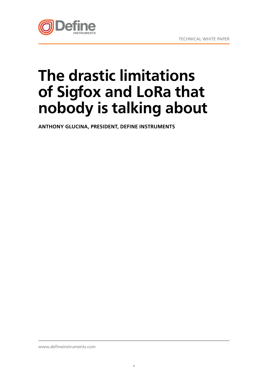

# **The drastic limitations of Sigfox and LoRa that nobody is talking about**

**ANTHONY GLUCINA, PRESIDENT, DEFINE INSTRUMENTS**

www.defineinstruments.com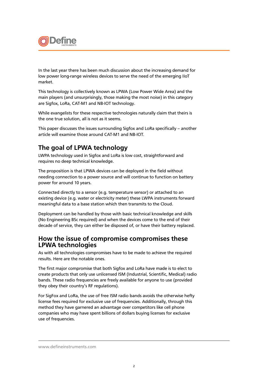

In the last year there has been much discussion about the increasing demand for low power long-range wireless devices to serve the need of the emerging IIoT market.

This technology is collectively known as LPWA (Low Power Wide Area) and the main players (and unsurprisingly, those making the most noise) in this category are Sigfox, LoRa, CAT-M1 and NB-IOT technology.

While evangelists for these respective technologies naturally claim that theirs is the one true solution, all is not as it seems.

This paper discusses the issues surrounding Sigfox and LoRa specifically – another article will examine those around CAT-M1 and NB-IOT.

## **The goal of LPWA technology**

LWPA technology used in Sigfox and LoRa is low cost, straightforward and requires no deep technical knowledge.

The proposition is that LPWA devices can be deployed in the field without needing connection to a power source and will continue to function on battery power for around 10 years.

Connected directly to a sensor (e.g. temperature sensor) or attached to an existing device (e.g. water or electricity meter) these LWPA instruments forward meaningful data to a base station which then transmits to the Cloud.

Deployment can be handled by those with basic technical knowledge and skills (No Engineering BSc required) and when the devices come to the end of their decade of service, they can either be disposed of, or have their battery replaced.

#### **How the issue of compromise compromises these LPWA technologies**

As with all technologies compromises have to be made to achieve the required results. Here are the notable ones.

The first major compromise that both Sigfox and LoRa have made is to elect to create products that only use unlicensed ISM (Industrial, Scientific, Medical) radio bands. These radio frequencies are freely available for anyone to use (provided they obey their country's RF regulations).

For SigFox and LoRa, the use of free ISM radio bands avoids the otherwise hefty license fees required for exclusive use of frequencies. Additionally, through this method they have garnered an advantage over competitors like cell phone companies who may have spent billions of dollars buying licenses for exclusive use of frequencies.

www.defineinstruments.com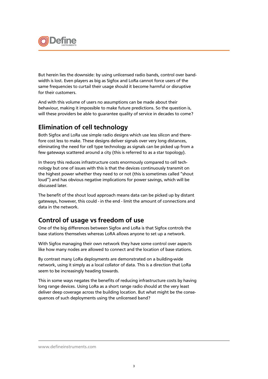

But herein lies the downside: by using unlicensed radio bands, control over bandwidth is lost. Even players as big as Sigfox and LoRa cannot force users of the same frequencies to curtail their usage should it become harmful or disruptive for their customers.

And with this volume of users no assumptions can be made about their behaviour, making it impossible to make future predictions. So the question is, will these providers be able to guarantee quality of service in decades to come?

#### **Elimination of cell technology**

Both Sigfox and LoRa use simple radio designs which use less silicon and therefore cost less to make. These designs deliver signals over very long distances, eliminating the need for cell type technology as signals can be picked up from a few gateways scattered around a city (this is referred to as a star topology).

In theory this reduces infrastructure costs enormously compared to cell technology but one of issues with this is that the devices continuously transmit on the highest power whether they need to or not (this is sometimes called "shout loud") and has obvious negative implications for power savings, which will be discussed later.

The benefit of the shout loud approach means data can be picked up by distant gateways, however, this could - in the end - limit the amount of connections and data in the network.

## **Control of usage vs freedom of use**

One of the big differences between Sigfox and LoRa is that Sigfox controls the base stations themselves whereas LoRA allows anyone to set up a network.

With Sigfox managing their own network they have some control over aspects like how many nodes are allowed to connect and the location of base stations.

By contrast many LoRa deployments are demonstrated on a building-wide network, using it simply as a local collator of data. This is a direction that LoRa seem to be increasingly heading towards.

This in some ways negates the benefits of reducing infrastructure costs by having long range devices. Using LoRa as a short range radio should at the very least deliver deep coverage across the building location. But what might be the consequences of such deployments using the unlicensed band?

#### www.defineinstruments.com